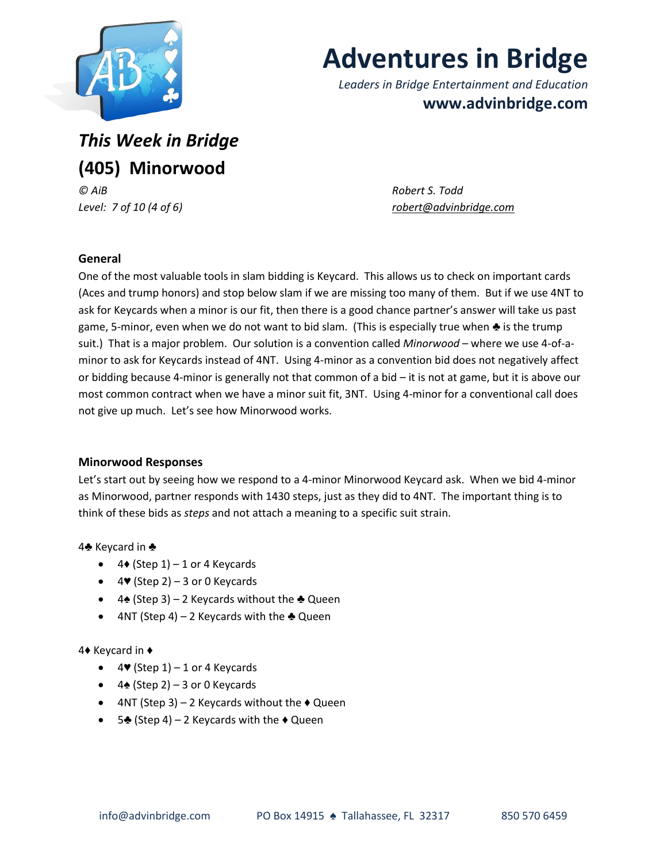

# **Adventures in Bridge**

*Leaders in Bridge Entertainment and Education* **www.advinbridge.com**

# *This Week in Bridge* **(405) Minorwood**

*© AiB Robert S. Todd*

# *Level: 7 of 10 (4 of 6) [robert@advinbridge.com](mailto:robert@advinbridge.com)*

## **General**

One of the most valuable tools in slam bidding is Keycard. This allows us to check on important cards (Aces and trump honors) and stop below slam if we are missing too many of them. But if we use 4NT to ask for Keycards when a minor is our fit, then there is a good chance partner's answer will take us past game, 5-minor, even when we do not want to bid slam. (This is especially true when ♣ is the trump suit.) That is a major problem. Our solution is a convention called *Minorwood* – where we use 4-of-aminor to ask for Keycards instead of 4NT. Using 4-minor as a convention bid does not negatively affect or bidding because 4-minor is generally not that common of a bid – it is not at game, but it is above our most common contract when we have a minor suit fit, 3NT. Using 4-minor for a conventional call does not give up much. Let's see how Minorwood works.

## **Minorwood Responses**

Let's start out by seeing how we respond to a 4-minor Minorwood Keycard ask. When we bid 4-minor as Minorwood, partner responds with 1430 steps, just as they did to 4NT. The important thing is to think of these bids as *steps* and not attach a meaning to a specific suit strain.

## 4♣ Keycard in ♣

- $4 \div (Step 1) 1$  or 4 Keycards
- $\bullet$  4 $\blacktriangleright$  (Step 2) 3 or 0 Keycards
- 4♠ (Step 3) 2 Keycards without the ♣ Queen
- 4NT (Step 4) 2 Keycards with the  $\triangle$  Queen

#### 4♦ Keycard in ♦

- $4\Psi$  (Step 1) 1 or 4 Keycards
- 4♠ (Step 2) 3 or 0 Keycards
- 4NT (Step 3) 2 Keycards without the  $\triangle$  Queen
- 5 $\triangleq$  (Step 4) 2 Keycards with the  $\triangleq$  Queen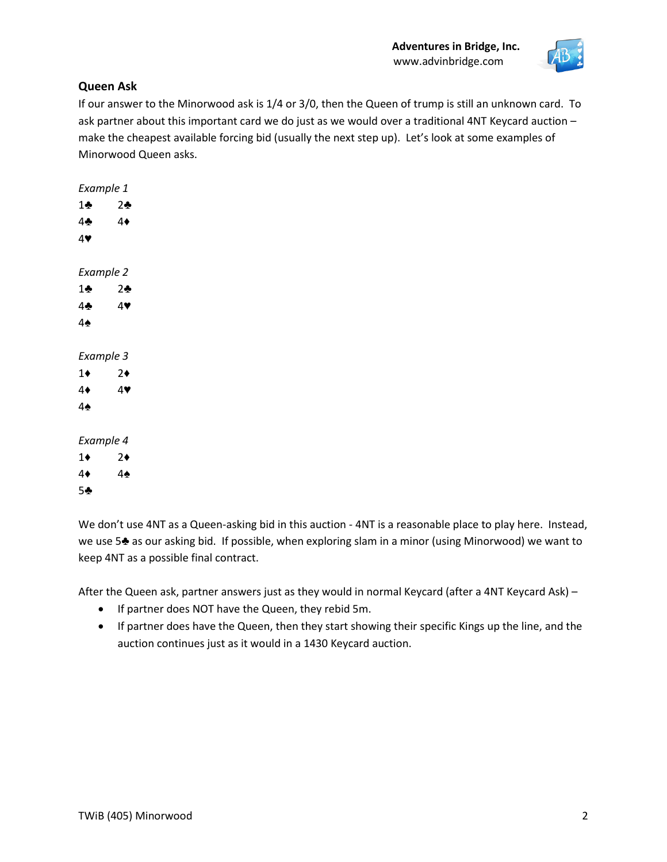

#### **Queen Ask**

If our answer to the Minorwood ask is 1/4 or 3/0, then the Queen of trump is still an unknown card. To ask partner about this important card we do just as we would over a traditional 4NT Keycard auction – make the cheapest available forcing bid (usually the next step up). Let's look at some examples of Minorwood Queen asks.

| Example 1  |              |
|------------|--------------|
| $1\bullet$ | 2♣           |
| 4÷         | $4\bullet$   |
| 47         |              |
|            |              |
| Example 2  |              |
| $1\bullet$ | $2\clubsuit$ |
| 4♣         | 4♥           |
| 4♠         |              |
|            |              |
| Example 3  |              |
| $1\bullet$ | 2♦           |
| $4\bullet$ | 4♥           |
| 4♠         |              |
|            |              |
| Example 4  |              |
| $1\bullet$ | 2♦           |
| $4\bullet$ | 4♠           |
| 5♣         |              |

We don't use 4NT as a Queen-asking bid in this auction - 4NT is a reasonable place to play here. Instead, we use 5<sup>★</sup> as our asking bid. If possible, when exploring slam in a minor (using Minorwood) we want to keep 4NT as a possible final contract.

After the Queen ask, partner answers just as they would in normal Keycard (after a 4NT Keycard Ask) –

- If partner does NOT have the Queen, they rebid 5m.
- If partner does have the Queen, then they start showing their specific Kings up the line, and the auction continues just as it would in a 1430 Keycard auction.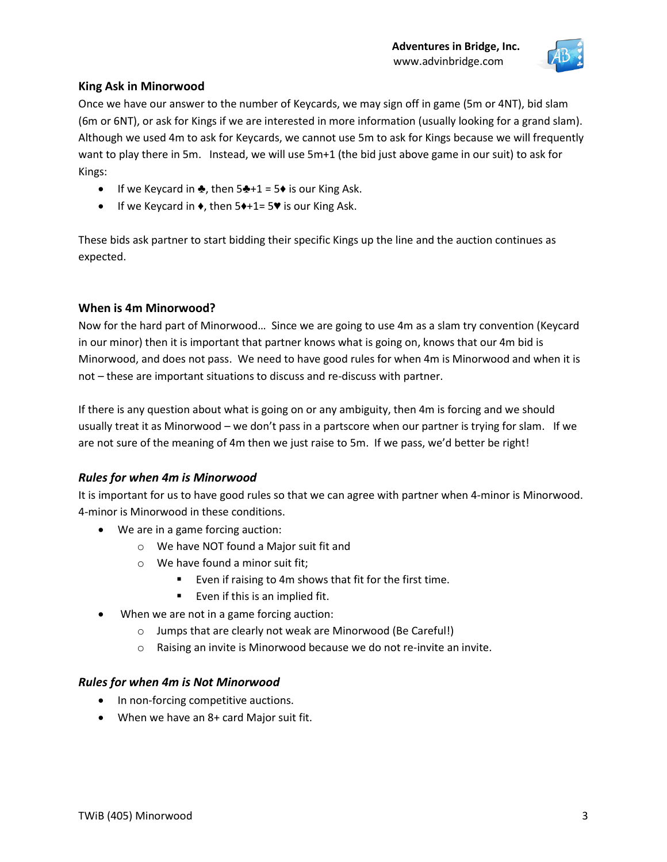

#### **King Ask in Minorwood**

Once we have our answer to the number of Keycards, we may sign off in game (5m or 4NT), bid slam (6m or 6NT), or ask for Kings if we are interested in more information (usually looking for a grand slam). Although we used 4m to ask for Keycards, we cannot use 5m to ask for Kings because we will frequently want to play there in 5m. Instead, we will use 5m+1 (the bid just above game in our suit) to ask for Kings:

- If we Keycard in  $\clubsuit$ , then  $5\clubsuit + 1 = 5\spadesuit$  is our King Ask.
- If we Keycard in  $\bullet$ , then  $5\bullet +1=5\bullet$  is our King Ask.

These bids ask partner to start bidding their specific Kings up the line and the auction continues as expected.

#### **When is 4m Minorwood?**

Now for the hard part of Minorwood… Since we are going to use 4m as a slam try convention (Keycard in our minor) then it is important that partner knows what is going on, knows that our 4m bid is Minorwood, and does not pass. We need to have good rules for when 4m is Minorwood and when it is not – these are important situations to discuss and re-discuss with partner.

If there is any question about what is going on or any ambiguity, then 4m is forcing and we should usually treat it as Minorwood – we don't pass in a partscore when our partner is trying for slam. If we are not sure of the meaning of 4m then we just raise to 5m. If we pass, we'd better be right!

#### *Rules for when 4m is Minorwood*

It is important for us to have good rules so that we can agree with partner when 4-minor is Minorwood. 4-minor is Minorwood in these conditions.

- We are in a game forcing auction:
	- o We have NOT found a Major suit fit and
	- o We have found a minor suit fit;
		- Even if raising to 4m shows that fit for the first time.
		- $\blacksquare$  Even if this is an implied fit.
- When we are not in a game forcing auction:
	- o Jumps that are clearly not weak are Minorwood (Be Careful!)
	- o Raising an invite is Minorwood because we do not re-invite an invite.

#### *Rules for when 4m is Not Minorwood*

- In non-forcing competitive auctions.
- When we have an 8+ card Major suit fit.